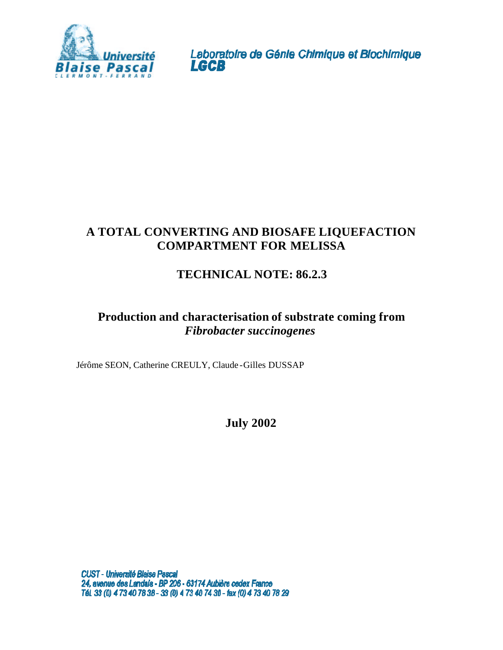

Laboratoire de Génie Chimique et Biochimique LGCB

# **A TOTAL CONVERTING AND BIOSAFE LIQUEFACTION COMPARTMENT FOR MELISSA**

# **TECHNICAL NOTE: 86.2.3**

# **Production and characterisation of substrate coming from** *Fibrobacter succinogenes*

Jérôme SEON, Catherine CREULY, Claude -Gilles DUSSAP

# **July 2002**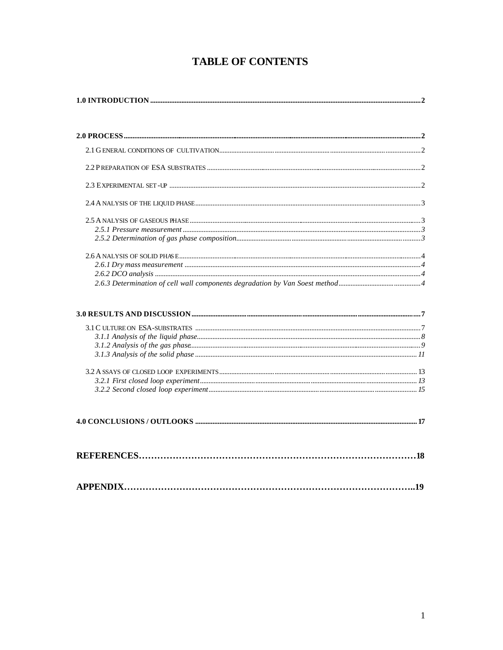# **TABLE OF CONTENTS**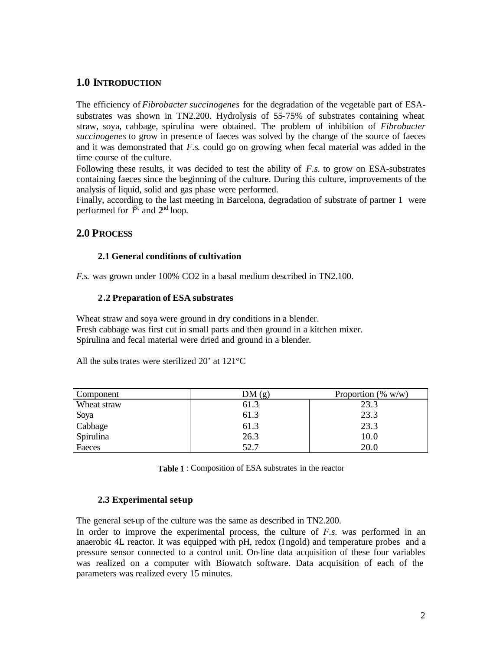# **1.0 INTRODUCTION**

The efficiency of *Fibrobacter succinogenes* for the degradation of the vegetable part of ESAsubstrates was shown in TN2.200. Hydrolysis of 55-75% of substrates containing wheat straw, soya, cabbage, spirulina were obtained. The problem of inhibition of *Fibrobacter succinogenes* to grow in presence of faeces was solved by the change of the source of faeces and it was demonstrated that *F.s*. could go on growing when fecal material was added in the time course of the culture.

Following these results, it was decided to test the ability of *F.s.* to grow on ESA-substrates containing faeces since the beginning of the culture. During this culture, improvements of the analysis of liquid, solid and gas phase were performed.

Finally, according to the last meeting in Barcelona, degradation of substrate of partner 1 were performed for  $1<sup>St</sup>$  and  $2<sup>nd</sup>$  loop.

### **2.0 PROCESS**

#### **2.1 General conditions of cultivation**

*F.s.* was grown under 100% CO2 in a basal medium described in TN2.100.

#### **2.2 Preparation of ESA substrates**

Wheat straw and soya were ground in dry conditions in a blender. Fresh cabbage was first cut in small parts and then ground in a kitchen mixer. Spirulina and fecal material were dried and ground in a blender.

All the substrates were sterilized  $20'$  at  $121^{\circ}$ C

| Component   | DM(g) | Proportion $(\% w/w)$ |
|-------------|-------|-----------------------|
| Wheat straw | 61.3  | 23.3                  |
| Soya        | 61.3  | 23.3                  |
| Cabbage     | 61.3  | 23.3                  |
| Spirulina   | 26.3  | 10.0                  |
| Faeces      | 52.7  | 20.0                  |

**Table 1** : Composition of ESA substrates in the reactor

#### **2.3 Experimental set-up**

The general set-up of the culture was the same as described in TN2.200.

In order to improve the experimental process, the culture of *F.s.* was performed in an anaerobic 4L reactor. It was equipped with pH, redox (Ingold) and temperature probes and a pressure sensor connected to a control unit. On-line data acquisition of these four variables was realized on a computer with Biowatch software. Data acquisition of each of the parameters was realized every 15 minutes.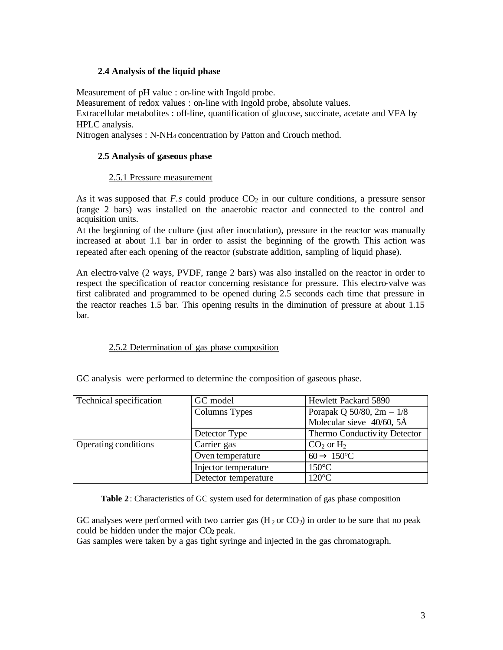### **2.4 Analysis of the liquid phase**

Measurement of pH value : on-line with Ingold probe.

Measurement of redox values : on-line with Ingold probe, absolute values.

Extracellular metabolites : off-line, quantification of glucose, succinate, acetate and VFA by HPLC analysis.

Nitrogen analyses : N-NH4 concentration by Patton and Crouch method.

# **2.5 Analysis of gaseous phase**

#### 2.5.1 Pressure measurement

As it was supposed that  $F.s$  could produce  $CO<sub>2</sub>$  in our culture conditions, a pressure sensor (range 2 bars) was installed on the anaerobic reactor and connected to the control and acquisition units.

At the beginning of the culture (just after inoculation), pressure in the reactor was manually increased at about 1.1 bar in order to assist the beginning of the growth. This action was repeated after each opening of the reactor (substrate addition, sampling of liquid phase).

An electro-valve (2 ways, PVDF, range 2 bars) was also installed on the reactor in order to respect the specification of reactor concerning resistance for pressure. This electro-valve was first calibrated and programmed to be opened during 2.5 seconds each time that pressure in the reactor reaches 1.5 bar. This opening results in the diminution of pressure at about 1.15 bar.

# 2.5.2 Determination of gas phase composition

| Technical specification | GC model             | Hewlett Packard 5890          |
|-------------------------|----------------------|-------------------------------|
|                         | Columns Types        | Porapak Q 50/80, $2m - 1/8$   |
|                         |                      | Molecular sieve 40/60, 5Å     |
|                         | Detector Type        | Thermo Conductiv ity Detector |
| Operating conditions    | Carrier gas          | $CO2$ or $H2$                 |
|                         | Oven temperature     | $60 \rightarrow 150$ °C       |
|                         | Injector temperature | $150^{\circ}$ C               |
|                         | Detector temperature | $120^{\circ}$ C               |

GC analysis were performed to determine the composition of gaseous phase.

**Table 2** : Characteristics of GC system used for determination of gas phase composition

GC analyses were performed with two carrier gas  $(H<sub>2</sub>$  or CO<sub>2</sub>) in order to be sure that no peak could be hidden under the major CO<sub>2</sub> peak.

Gas samples were taken by a gas tight syringe and injected in the gas chromatograph.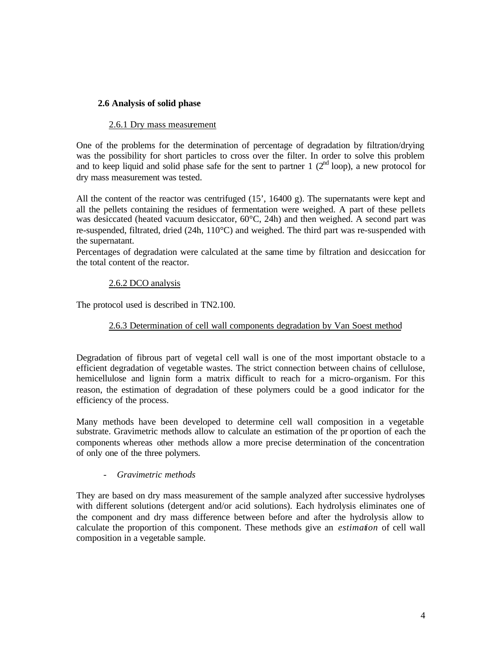### **2.6 Analysis of solid phase**

### 2.6.1 Dry mass measurement

One of the problems for the determination of percentage of degradation by filtration/drying was the possibility for short particles to cross over the filter. In order to solve this problem and to keep liquid and solid phase safe for the sent to partner 1  $(2^{nd}$  loop), a new protocol for dry mass measurement was tested.

All the content of the reactor was centrifuged (15', 16400 g). The supernatants were kept and all the pellets containing the residues of fermentation were weighed. A part of these pellets was desiccated (heated vacuum desiccator, 60°C, 24h) and then weighed. A second part was re-suspended, filtrated, dried (24h, 110°C) and weighed. The third part was re-suspended with the supernatant.

Percentages of degradation were calculated at the same time by filtration and desiccation for the total content of the reactor.

### 2.6.2 DCO analysis

The protocol used is described in TN2.100.

## 2.6.3 Determination of cell wall components degradation by Van Soest method

Degradation of fibrous part of vegetal cell wall is one of the most important obstacle to a efficient degradation of vegetable wastes. The strict connection between chains of cellulose, hemicellulose and lignin form a matrix difficult to reach for a micro-organism. For this reason, the estimation of degradation of these polymers could be a good indicator for the efficiency of the process.

Many methods have been developed to determine cell wall composition in a vegetable substrate. Gravimetric methods allow to calculate an estimation of the pr oportion of each the components whereas other methods allow a more precise determination of the concentration of only one of the three polymers.

#### - *Gravimetric methods*

They are based on dry mass measurement of the sample analyzed after successive hydrolyses with different solutions (detergent and/or acid solutions). Each hydrolysis eliminates one of the component and dry mass difference between before and after the hydrolysis allow to calculate the proportion of this component. These methods give an *estimation* of cell wall composition in a vegetable sample.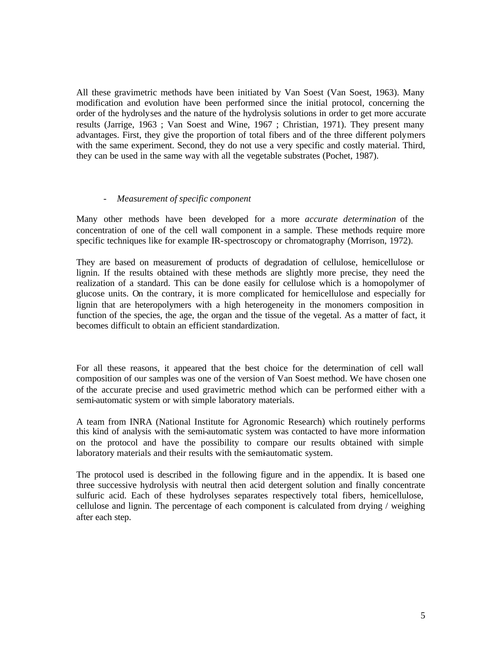All these gravimetric methods have been initiated by Van Soest (Van Soest, 1963). Many modification and evolution have been performed since the initial protocol, concerning the order of the hydrolyses and the nature of the hydrolysis solutions in order to get more accurate results (Jarrige, 1963 ; Van Soest and Wine, 1967 ; Christian, 1971). They present many advantages. First, they give the proportion of total fibers and of the three different polymers with the same experiment. Second, they do not use a very specific and costly material. Third, they can be used in the same way with all the vegetable substrates (Pochet, 1987).

#### - *Measurement of specific component*

Many other methods have been developed for a more *accurate determination* of the concentration of one of the cell wall component in a sample. These methods require more specific techniques like for example IR-spectroscopy or chromatography (Morrison, 1972).

They are based on measurement of products of degradation of cellulose, hemicellulose or lignin. If the results obtained with these methods are slightly more precise, they need the realization of a standard. This can be done easily for cellulose which is a homopolymer of glucose units. On the contrary, it is more complicated for hemicellulose and especially for lignin that are heteropolymers with a high heterogeneity in the monomers composition in function of the species, the age, the organ and the tissue of the vegetal. As a matter of fact, it becomes difficult to obtain an efficient standardization.

For all these reasons, it appeared that the best choice for the determination of cell wall composition of our samples was one of the version of Van Soest method. We have chosen one of the accurate precise and used gravimetric method which can be performed either with a semi-automatic system or with simple laboratory materials.

A team from INRA (National Institute for Agronomic Research) which routinely performs this kind of analysis with the semi-automatic system was contacted to have more information on the protocol and have the possibility to compare our results obtained with simple laboratory materials and their results with the semi-automatic system.

The protocol used is described in the following figure and in the appendix. It is based one three successive hydrolysis with neutral then acid detergent solution and finally concentrate sulfuric acid. Each of these hydrolyses separates respectively total fibers, hemicellulose, cellulose and lignin. The percentage of each component is calculated from drying / weighing after each step.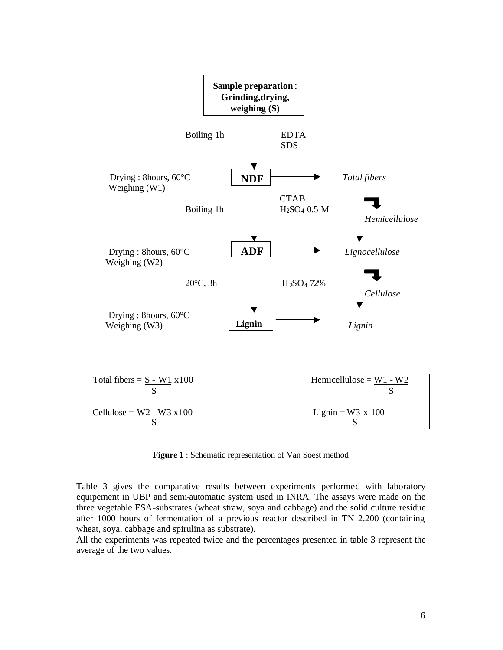

**Figure 1** : Schematic representation of Van Soest method

Table 3 gives the comparative results between experiments performed with laboratory equipement in UBP and semi-automatic system used in INRA. The assays were made on the three vegetable ESA-substrates (wheat straw, soya and cabbage) and the solid culture residue after 1000 hours of fermentation of a previous reactor described in TN 2.200 (containing wheat, soya, cabbage and spirulina as substrate).

All the experiments was repeated twice and the percentages presented in table 3 represent the average of the two values.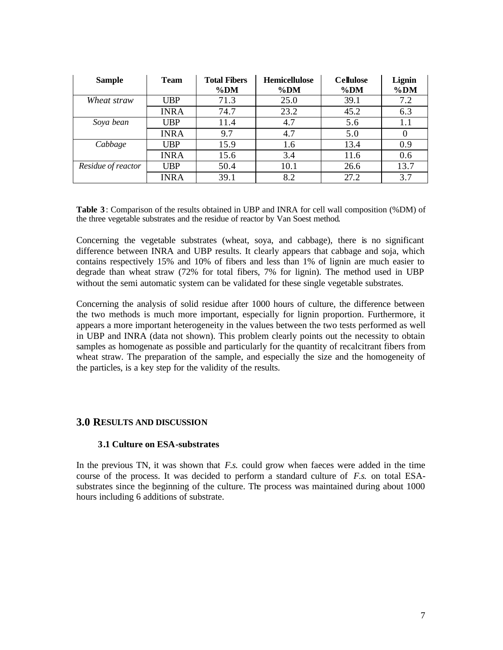| <b>Sample</b>      | <b>Team</b> | <b>Total Fibers</b><br>$\%DM$ | <b>Hemicellulose</b><br>$\%DM$ | <b>Cellulose</b><br>$\%DM$ | Lignin<br>%DM |
|--------------------|-------------|-------------------------------|--------------------------------|----------------------------|---------------|
| Wheat straw        | <b>UBP</b>  | 71.3                          | 25.0                           | 39.1                       | 7.2           |
|                    | <b>INRA</b> | 74.7                          | 23.2                           | 45.2                       | 6.3           |
| Soya bean          | <b>UBP</b>  | 11.4                          | 4.7                            | 5.6                        | 1.1           |
|                    | <b>INRA</b> | 9.7                           | 4.7                            | 5.0                        | $\theta$      |
| Cabbage            | <b>UBP</b>  | 15.9                          | 1.6                            | 13.4                       | 0.9           |
|                    | <b>INRA</b> | 15.6                          | 3.4                            | 11.6                       | 0.6           |
| Residue of reactor | <b>UBP</b>  | 50.4                          | 10.1                           | 26.6                       | 13.7          |
|                    | <b>INRA</b> | 39.1                          | 8.2                            | 27.2                       | 3.7           |

**Table 3** : Comparison of the results obtained in UBP and INRA for cell wall composition (%DM) of the three vegetable substrates and the residue of reactor by Van Soest method.

Concerning the vegetable substrates (wheat, soya, and cabbage), there is no significant difference between INRA and UBP results. It clearly appears that cabbage and soja, which contains respectively 15% and 10% of fibers and less than 1% of lignin are much easier to degrade than wheat straw (72% for total fibers, 7% for lignin). The method used in UBP without the semi automatic system can be validated for these single vegetable substrates.

Concerning the analysis of solid residue after 1000 hours of culture, the difference between the two methods is much more important, especially for lignin proportion. Furthermore, it appears a more important heterogeneity in the values between the two tests performed as well in UBP and INRA (data not shown). This problem clearly points out the necessity to obtain samples as homogenate as possible and particularly for the quantity of recalcitrant fibers from wheat straw. The preparation of the sample, and especially the size and the homogeneity of the particles, is a key step for the validity of the results.

#### **3.0 RESULTS AND DISCUSSION**

#### **3.1 Culture on ESA-substrates**

In the previous TN, it was shown that *F.s.* could grow when faeces were added in the time course of the process. It was decided to perform a standard culture of *F.s.* on total ESAsubstrates since the beginning of the culture. The process was maintained during about 1000 hours including 6 additions of substrate.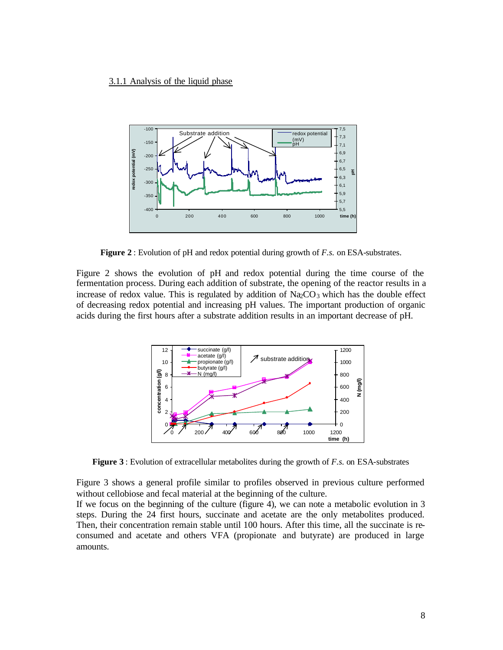#### 3.1.1 Analysis of the liquid phase



**Figure 2** : Evolution of pH and redox potential during growth of *F.s.* on ESA-substrates.

Figure 2 shows the evolution of pH and redox potential during the time course of the fermentation process. During each addition of substrate, the opening of the reactor results in a increase of redox value. This is regulated by addition of  $N_aCO_3$  which has the double effect of decreasing redox potential and increasing pH values. The important production of organic acids during the first hours after a substrate addition results in an important decrease of pH.



**Figure 3** : Evolution of extracellular metabolites during the growth of *F.s.* on ESA-substrates

Figure 3 shows a general profile similar to profiles observed in previous culture performed without cellobiose and fecal material at the beginning of the culture.

If we focus on the beginning of the culture (figure 4), we can note a metabolic evolution in 3 steps. During the 24 first hours, succinate and acetate are the only metabolites produced. Then, their concentration remain stable until 100 hours. After this time, all the succinate is reconsumed and acetate and others VFA (propionate and butyrate) are produced in large amounts.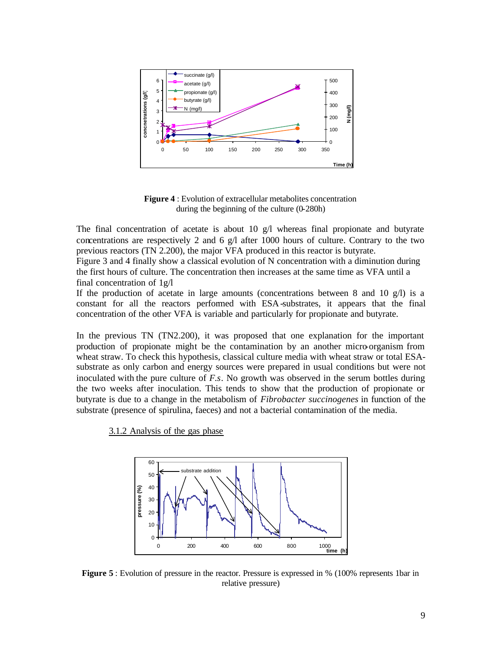

**Figure 4** : Evolution of extracellular metabolites concentration during the beginning of the culture (0-280h)

The final concentration of acetate is about 10  $g/1$  whereas final propionate and butyrate concentrations are respectively 2 and 6  $g/$  after 1000 hours of culture. Contrary to the two previous reactors (TN 2.200), the major VFA produced in this reactor is butyrate.

Figure 3 and 4 finally show a classical evolution of N concentration with a diminution during the first hours of culture. The concentration then increases at the same time as VFA until a final concentration of 1g/l

If the production of acetate in large amounts (concentrations between 8 and 10  $g(1)$  is a constant for all the reactors performed with ESA-substrates, it appears that the final concentration of the other VFA is variable and particularly for propionate and butyrate.

In the previous TN (TN2.200), it was proposed that one explanation for the important production of propionate might be the contamination by an another micro-organism from wheat straw. To check this hypothesis, classical culture media with wheat straw or total ESAsubstrate as only carbon and energy sources were prepared in usual conditions but were not inoculated with the pure culture of *F.s*. No growth was observed in the serum bottles during the two weeks after inoculation. This tends to show that the production of propionate or butyrate is due to a change in the metabolism of *Fibrobacter succinogenes* in function of the substrate (presence of spirulina, faeces) and not a bacterial contamination of the media.

3.1.2 Analysis of the gas phase



**Figure 5** : Evolution of pressure in the reactor. Pressure is expressed in % (100% represents 1bar in relative pressure)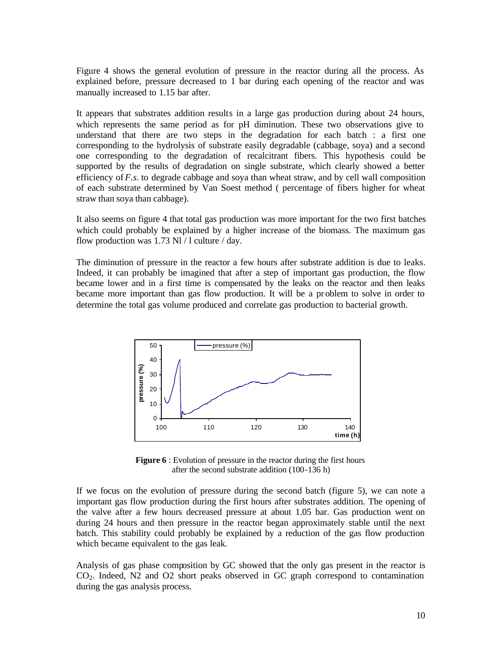Figure 4 shows the general evolution of pressure in the reactor during all the process. As explained before, pressure decreased to 1 bar during each opening of the reactor and was manually increased to 1.15 bar after.

It appears that substrates addition results in a large gas production during about 24 hours, which represents the same period as for pH diminution. These two observations give to understand that there are two steps in the degradation for each batch : a first one corresponding to the hydrolysis of substrate easily degradable (cabbage, soya) and a second one corresponding to the degradation of recalcitrant fibers. This hypothesis could be supported by the results of degradation on single substrate, which clearly showed a better efficiency of *F.s.* to degrade cabbage and soya than wheat straw, and by cell wall composition of each substrate determined by Van Soest method ( percentage of fibers higher for wheat straw than soya than cabbage).

It also seems on figure 4 that total gas production was more important for the two first batches which could probably be explained by a higher increase of the biomass. The maximum gas flow production was 1.73 Nl / l culture / day.

The diminution of pressure in the reactor a few hours after substrate addition is due to leaks. Indeed, it can probably be imagined that after a step of important gas production, the flow became lower and in a first time is compensated by the leaks on the reactor and then leaks became more important than gas flow production. It will be a problem to solve in order to determine the total gas volume produced and correlate gas production to bacterial growth.



**Figure 6** : Evolution of pressure in the reactor during the first hours after the second substrate addition (100-136 h)

If we focus on the evolution of pressure during the second batch (figure 5), we can note a important gas flow production during the first hours after substrates addition. The opening of the valve after a few hours decreased pressure at about 1.05 bar. Gas production went on during 24 hours and then pressure in the reactor began approximately stable until the next batch. This stability could probably be explained by a reduction of the gas flow production which became equivalent to the gas leak.

Analysis of gas phase composition by GC showed that the only gas present in the reactor is CO2. Indeed, N2 and O2 short peaks observed in GC graph correspond to contamination during the gas analysis process.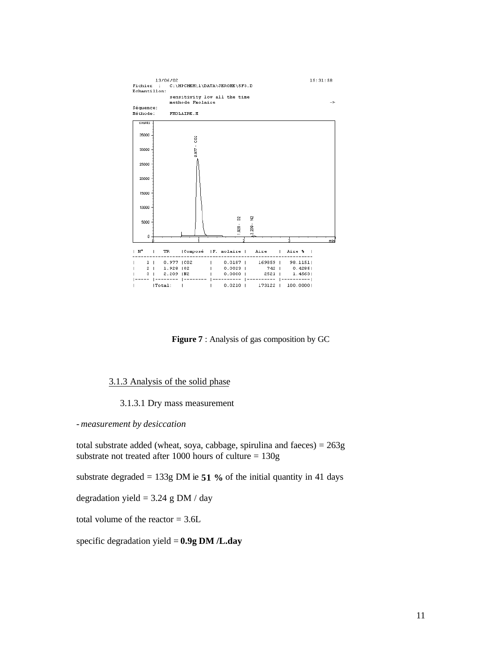| 13/06/02<br>Fichier : C:\HPCHEM\1\DATA\JEROME\5F3.D |                                                  |              |                         |           |                                         | 15:31:58      |
|-----------------------------------------------------|--------------------------------------------------|--------------|-------------------------|-----------|-----------------------------------------|---------------|
| Echantillon:                                        | sensitivity low all the time<br>methode Fmolaire |              |                         |           |                                         | $\rightarrow$ |
| Séquence:                                           |                                                  |              |                         |           |                                         |               |
| Méthode:                                            | FMOLAIRE.M                                       |              |                         |           |                                         |               |
| counts                                              |                                                  |              |                         |           |                                         |               |
|                                                     |                                                  |              |                         |           |                                         |               |
| 35000                                               |                                                  |              |                         |           |                                         |               |
|                                                     | ğ                                                |              |                         |           |                                         |               |
| 30000                                               | $0.977 -$                                        |              |                         |           |                                         |               |
|                                                     |                                                  |              |                         |           |                                         |               |
|                                                     |                                                  |              |                         |           |                                         |               |
| 25000                                               |                                                  |              |                         |           |                                         |               |
|                                                     |                                                  |              |                         |           |                                         |               |
| 20000                                               |                                                  |              |                         |           |                                         |               |
|                                                     |                                                  |              |                         |           |                                         |               |
| 15000                                               |                                                  |              |                         |           |                                         |               |
|                                                     |                                                  |              |                         |           |                                         |               |
|                                                     |                                                  |              |                         |           |                                         |               |
| 10000                                               |                                                  |              |                         |           |                                         |               |
|                                                     |                                                  |              |                         |           |                                         |               |
| 5000                                                |                                                  |              | g                       | 웊         |                                         |               |
|                                                     |                                                  |              | $1.928 -$               | $2.209 -$ |                                         |               |
|                                                     |                                                  |              |                         |           |                                         |               |
| $0 +$<br>n                                          |                                                  |              |                         |           | ś                                       | min           |
|                                                     |                                                  |              |                         |           |                                         |               |
| $\mathbb{H}^n$<br>$\sim$ 1.                         |                                                  |              |                         |           | TR (Composé (F. molaire ) Aire   Aire % |               |
|                                                     |                                                  |              |                         |           |                                         |               |
| 2 <sub>1</sub>                                      | 1   0.977   CO2<br>$1.928$   02                  | $\mathbf{I}$ | $0.0187$                | $0.0023$  | 169859   98.1151  <br>742   0.4285      |               |
| 3 <sub>1</sub>                                      | 2.209   N2                                       | I.           | $0.0000$                |           | 2521   1.4563                           |               |
|                                                     | -------                                          |              | $1 - - - - - - - - - -$ |           | ----------  ---------                   |               |
| [Total:                                             | the property of the con-                         | $\mathbf{L}$ | $0.0210$                |           | 173122   100.0000                       |               |

**Figure 7** : Analysis of gas composition by GC

#### 3.1.3 Analysis of the solid phase

#### 3.1.3.1 Dry mass measurement

#### *- measurement by desiccation*

total substrate added (wheat, soya, cabbage, spirulina and faeces) = 263g substrate not treated after 1000 hours of culture = 130g

substrate degraded = 133g DM ie **51 %** of the initial quantity in 41 days

degradation yield =  $3.24$  g DM / day

total volume of the reactor  $= 3.6L$ 

specific degradation yield = **0.9g DM /L.day**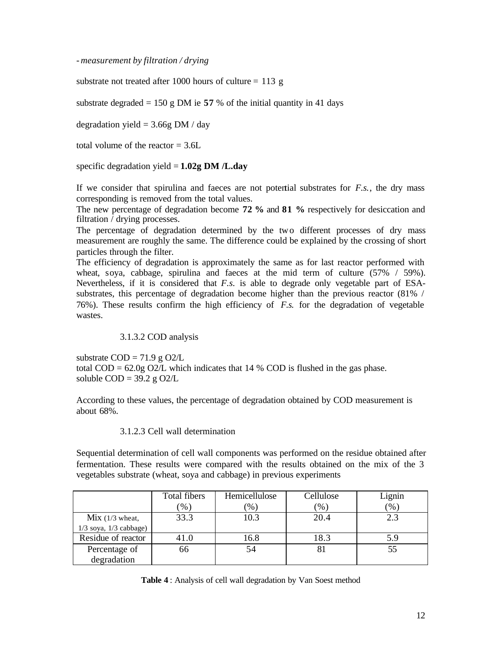*- measurement by filtration / drying*

substrate not treated after 1000 hours of culture  $= 113$  g

substrate degraded  $= 150$  g DM ie 57 % of the initial quantity in 41 days

degradation yield =  $3.66g$  DM / day

total volume of the reactor  $= 3.6L$ 

specific degradation yield = **1.02g DM /L.day**

If we consider that spirulina and faeces are not potential substrates for *F.s.*, the dry mass corresponding is removed from the total values.

The new percentage of degradation become **72 %** and **81 %** respectively for desiccation and filtration / drying processes.

The percentage of degradation determined by the two different processes of dry mass measurement are roughly the same. The difference could be explained by the crossing of short particles through the filter.

The efficiency of degradation is approximately the same as for last reactor performed with wheat, soya, cabbage, spirulina and faeces at the mid term of culture (57% / 59%). Nevertheless, if it is considered that *F.s.* is able to degrade only vegetable part of ESAsubstrates, this percentage of degradation become higher than the previous reactor (81% / 76%). These results confirm the high efficiency of *F.s.* for the degradation of vegetable wastes.

#### 3.1.3.2 COD analysis

substrate  $COD = 71.9$  g  $O2/L$ total  $\text{COD} = 62.0g \text{ O2/L}$  which indicates that 14 %  $\text{COD}$  is flushed in the gas phase. soluble  $COD = 39.2$  g O2/L

According to these values, the percentage of degradation obtained by COD measurement is about 68%.

3.1.2.3 Cell wall determination

Sequential determination of cell wall components was performed on the residue obtained after fermentation. These results were compared with the results obtained on the mix of the 3 vegetables substrate (wheat, soya and cabbage) in previous experiments

|                            | Total fibers | Hemicellulose           | Cellulose | Lignin              |
|----------------------------|--------------|-------------------------|-----------|---------------------|
|                            | (96)         | $\gamma$ <sup>(6)</sup> | (% )      | $\left( \% \right)$ |
| $Mix (1/3)$ wheat,         | 33.3         | 10.3                    | 20.4      | 2.3                 |
| $1/3$ soya, $1/3$ cabbage) |              |                         |           |                     |
| Residue of reactor         | 41.0         | 16.8                    | 18.3      | 5.9                 |
| Percentage of              | 66           | 54                      | 81        | 55                  |
| degradation                |              |                         |           |                     |

**Table 4** : Analysis of cell wall degradation by Van Soest method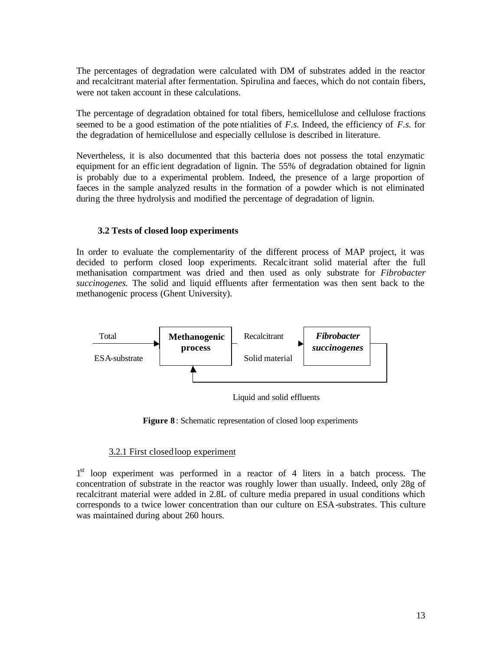The percentages of degradation were calculated with DM of substrates added in the reactor and recalcitrant material after fermentation. Spirulina and faeces, which do not contain fibers, were not taken account in these calculations.

The percentage of degradation obtained for total fibers, hemicellulose and cellulose fractions seemed to be a good estimation of the pote ntialities of *F.s.* Indeed, the efficiency of *F.s.* for the degradation of hemicellulose and especially cellulose is described in literature.

Nevertheless, it is also documented that this bacteria does not possess the total enzymatic equipment for an effic ient degradation of lignin. The 55% of degradation obtained for lignin is probably due to a experimental problem. Indeed, the presence of a large proportion of faeces in the sample analyzed results in the formation of a powder which is not eliminated during the three hydrolysis and modified the percentage of degradation of lignin.

#### **3.2 Tests of closed loop experiments**

In order to evaluate the complementarity of the different process of MAP project, it was decided to perform closed loop experiments. Recalc itrant solid material after the full methanisation compartment was dried and then used as only substrate for *Fibrobacter succinogenes.* The solid and liquid effluents after fermentation was then sent back to the methanogenic process (Ghent University).



Liquid and solid effluents

**Figure 8** : Schematic representation of closed loop experiments

#### 3.2.1 First closed loop experiment

1<sup>st</sup> loop experiment was performed in a reactor of 4 liters in a batch process. The concentration of substrate in the reactor was roughly lower than usually. Indeed, only 28g of recalcitrant material were added in 2.8L of culture media prepared in usual conditions which corresponds to a twice lower concentration than our culture on ESA-substrates. This culture was maintained during about 260 hours.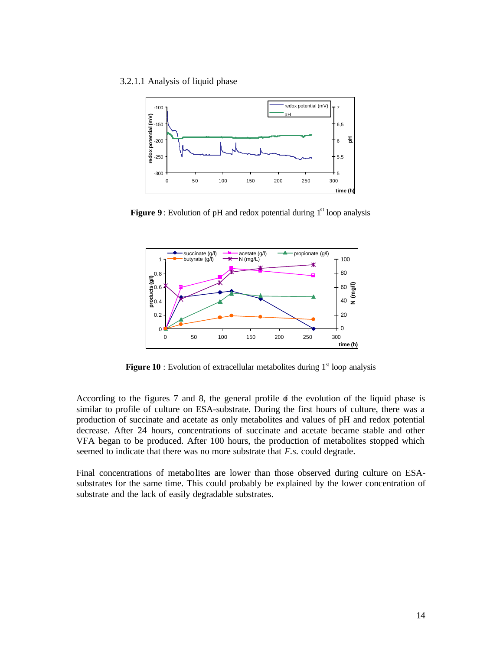3.2.1.1 Analysis of liquid phase



**Figure 9** : Evolution of pH and redox potential during  $1<sup>st</sup>$  loop analysis



**Figure 10** : Evolution of extracellular metabolites during  $1<sup>st</sup>$  loop analysis

According to the figures  $7$  and  $8$ , the general profile  $6$  the evolution of the liquid phase is similar to profile of culture on ESA-substrate. During the first hours of culture, there was a production of succinate and acetate as only metabolites and values of pH and redox potential decrease. After 24 hours, concentrations of succinate and acetate became stable and other VFA began to be produced. After 100 hours, the production of metabolites stopped which seemed to indicate that there was no more substrate that *F.s.* could degrade.

Final concentrations of metabolites are lower than those observed during culture on ESAsubstrates for the same time. This could probably be explained by the lower concentration of substrate and the lack of easily degradable substrates.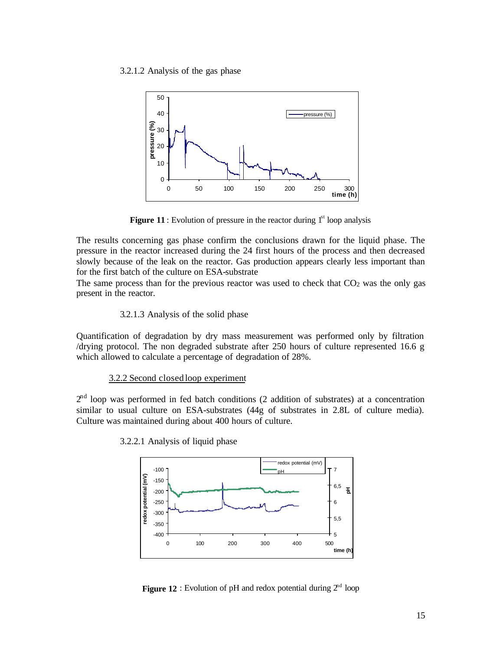3.2.1.2 Analysis of the gas phase



**Figure 11** : Evolution of pressure in the reactor during  $1<sup>st</sup>$  loop analysis

The results concerning gas phase confirm the conclusions drawn for the liquid phase. The pressure in the reactor increased during the 24 first hours of the process and then decreased slowly because of the leak on the reactor. Gas production appears clearly less important than for the first batch of the culture on ESA-substrate

The same process than for the previous reactor was used to check that  $CO<sub>2</sub>$  was the only gas present in the reactor.

3.2.1.3 Analysis of the solid phase

Quantification of degradation by dry mass measurement was performed only by filtration /drying protocol. The non degraded substrate after 250 hours of culture represented 16.6 g which allowed to calculate a percentage of degradation of 28%.

3.2.2 Second closed loop experiment

 $2<sup>nd</sup>$  loop was performed in fed batch conditions (2 addition of substrates) at a concentration similar to usual culture on ESA-substrates (44g of substrates in 2.8L of culture media). Culture was maintained during about 400 hours of culture.





**Figure 12** : Evolution of pH and redox potential during  $2^{nd}$  loop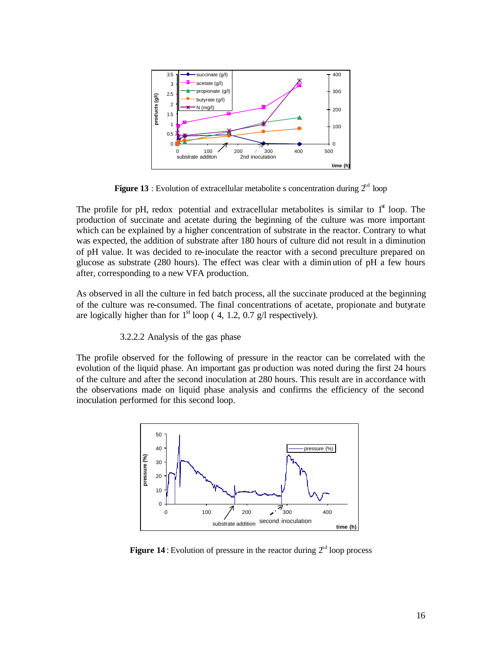

**Figure 13** : Evolution of extracellular metabolite s concentration during  $2^{nd}$  loop

The profile for pH, redox potential and extracellular metabolites is similar to  $1<sup>st</sup>$  loop. The production of succinate and acetate during the beginning of the culture was more important which can be explained by a higher concentration of substrate in the reactor. Contrary to what was expected, the addition of substrate after 180 hours of culture did not result in a diminution of pH value. It was decided to re-inoculate the reactor with a second preculture prepared on glucose as substrate (280 hours). The effect was clear with a dimin ution of pH a few hours after, corresponding to a new VFA production.

As observed in all the culture in fed batch process, all the succinate produced at the beginning of the culture was re-consumed. The final concentrations of acetate, propionate and butyrate are logically higher than for  $1<sup>st</sup>$  loop (4, 1.2, 0.7 g/l respectively).

3.2.2.2 Analysis of the gas phase

The profile observed for the following of pressure in the reactor can be correlated with the evolution of the liquid phase. An important gas production was noted during the first 24 hours of the culture and after the second inoculation at 280 hours. This result are in accordance with the observations made on liquid phase analysis and confirms the efficiency of the second inoculation performed for this second loop.



**Figure 14** : Evolution of pressure in the reactor during  $2<sup>nd</sup>$  loop process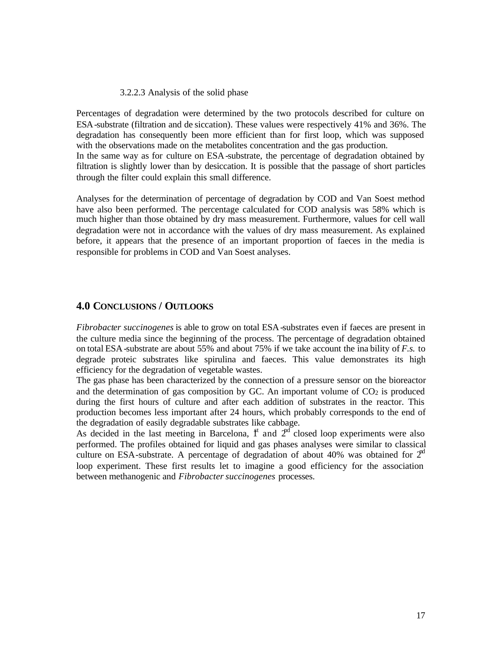#### 3.2.2.3 Analysis of the solid phase

Percentages of degradation were determined by the two protocols described for culture on ESA-substrate (filtration and de siccation). These values were respectively 41% and 36%. The degradation has consequently been more efficient than for first loop, which was supposed with the observations made on the metabolites concentration and the gas production. In the same way as for culture on ESA-substrate, the percentage of degradation obtained by filtration is slightly lower than by desiccation. It is possible that the passage of short particles through the filter could explain this small difference.

Analyses for the determination of percentage of degradation by COD and Van Soest method have also been performed. The percentage calculated for COD analysis was 58% which is much higher than those obtained by dry mass measurement. Furthermore, values for cell wall degradation were not in accordance with the values of dry mass measurement. As explained before, it appears that the presence of an important proportion of faeces in the media is responsible for problems in COD and Van Soest analyses.

#### **4.0 CONCLUSIONS / OUTLOOKS**

*Fibrobacter succinogenes* is able to grow on total ESA-substrates even if faeces are present in the culture media since the beginning of the process. The percentage of degradation obtained on total ESA-substrate are about 55% and about 75% if we take account the ina bility of *F.s.* to degrade proteic substrates like spirulina and faeces. This value demonstrates its high efficiency for the degradation of vegetable wastes.

The gas phase has been characterized by the connection of a pressure sensor on the bioreactor and the determination of gas composition by GC. An important volume of  $CO<sub>2</sub>$  is produced during the first hours of culture and after each addition of substrates in the reactor. This production becomes less important after 24 hours, which probably corresponds to the end of the degradation of easily degradable substrates like cabbage.

As decided in the last meeting in Barcelona,  $f<sup>t</sup>$  and  $2<sup>nd</sup>$  closed loop experiments were also performed. The profiles obtained for liquid and gas phases analyses were similar to classical culture on ESA-substrate. A percentage of degradation of about 40% was obtained for  $2<sup>nd</sup>$ loop experiment. These first results let to imagine a good efficiency for the association between methanogenic and *Fibrobacter succinogenes* processes.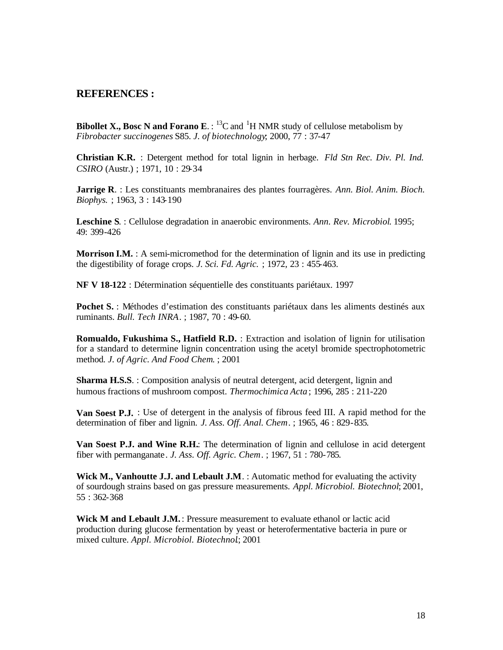# **REFERENCES :**

**Bibollet X., Bosc N and Forano E.**:  $^{13}C$  and <sup>1</sup>H NMR study of cellulose metabolism by *Fibrobacter succinogenes* S85. *J. of biotechnology*; 2000, 77 : 37-47

**Christian K.R.** : Detergent method for total lignin in herbage. *Fld Stn Rec. Div. Pl. Ind. CSIRO* (Austr.) ; 1971, 10 : 29-34

**Jarrige R**. : Les constituants membranaires des plantes fourragères. *Ann. Biol. Anim. Bioch. Biophys.* ; 1963, 3 : 143-190

**Leschine S**. : Cellulose degradation in anaerobic environments. *Ann. Rev. Microbiol*. 1995; 49: 399-426

**Morrison I.M.** : A semi-micromethod for the determination of lignin and its use in predicting the digestibility of forage crops. *J. Sci. Fd. Agric.* ; 1972, 23 : 455-463.

**NF V 18-122** : Détermination séquentielle des constituants pariétaux. 1997

Pochet S. : Méthodes d'estimation des constituants pariétaux dans les aliments destinés aux ruminants. *Bull. Tech INRA*. ; 1987, 70 : 49-60.

**Romualdo, Fukushima S., Hatfield R.D.** : Extraction and isolation of lignin for utilisation for a standard to determine lignin concentration using the acetyl bromide spectrophotometric method*. J. of Agric. And Food Chem*. ; 2001

**Sharma H.S.S.** : Composition analysis of neutral detergent, acid detergent, lignin and humous fractions of mushroom compost. *Thermochimica Acta* ; 1996, 285 : 211-220

**Van Soest P.J.** : Use of detergent in the analysis of fibrous feed III. A rapid method for the determination of fiber and lignin. *J. Ass. Off. Anal. Chem*. ; 1965, 46 : 829-835.

**Van Soest P.J. and Wine R.H.**: The determination of lignin and cellulose in acid detergent fiber with permanganate *. J. Ass. Off. Agric. Chem*. ; 1967, 51 : 780-785.

**Wick M., Vanhoutte J.J. and Lebault J.M**. : Automatic method for evaluating the activity of sourdough strains based on gas pressure measurements. *Appl. Microbiol. Biotechnol*; 2001, 55 : 362-368

**Wick M and Lebault J.M.** : Pressure measurement to evaluate ethanol or lactic acid production during glucose fermentation by yeast or heterofermentative bacteria in pure or mixed culture. *Appl. Microbiol. Biotechnol*.; 2001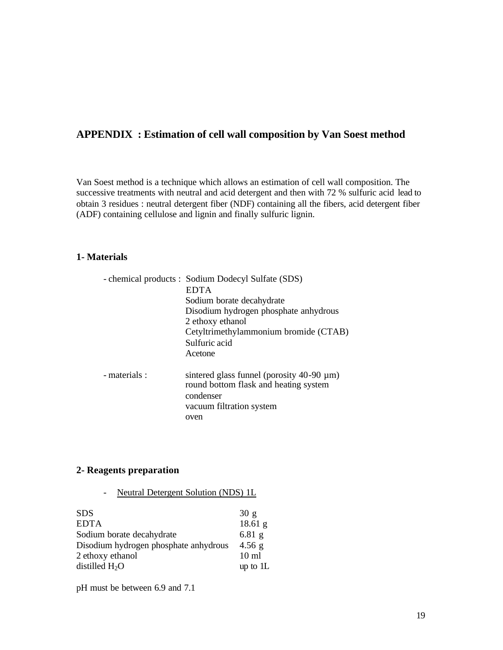# **APPENDIX : Estimation of cell wall composition by Van Soest method**

Van Soest method is a technique which allows an estimation of cell wall composition. The successive treatments with neutral and acid detergent and then with 72 % sulfuric acid lead to obtain 3 residues : neutral detergent fiber (NDF) containing all the fibers, acid detergent fiber (ADF) containing cellulose and lignin and finally sulfuric lignin.

# **1- Materials**

|               | - chemical products : Sodium Dodecyl Sulfate (SDS)                                       |
|---------------|------------------------------------------------------------------------------------------|
|               | <b>EDTA</b>                                                                              |
|               | Sodium borate decahydrate                                                                |
|               | Disodium hydrogen phosphate anhydrous                                                    |
|               | 2 ethoxy ethanol                                                                         |
|               | Cetyltrimethylammonium bromide (CTAB)                                                    |
|               | Sulfuric acid                                                                            |
|               | Acetone                                                                                  |
| - materials : | sintered glass funnel (porosity $40-90 \mu m$ )<br>round bottom flask and heating system |
|               | condenser                                                                                |
|               | vacuum filtration system                                                                 |
|               | oven                                                                                     |

# **2- Reagents preparation**

- Neutral Detergent Solution (NDS) 1L

| <b>SDS</b>                            | 30g             |
|---------------------------------------|-----------------|
| <b>EDTA</b>                           | $18.61$ g       |
| Sodium borate decahydrate             | $6.81$ g        |
| Disodium hydrogen phosphate anhydrous | 4.56 g          |
| 2 ethoxy ethanol                      | $10 \text{ ml}$ |
| distilled $H_2O$                      | up to $1L$      |

pH must be between 6.9 and 7.1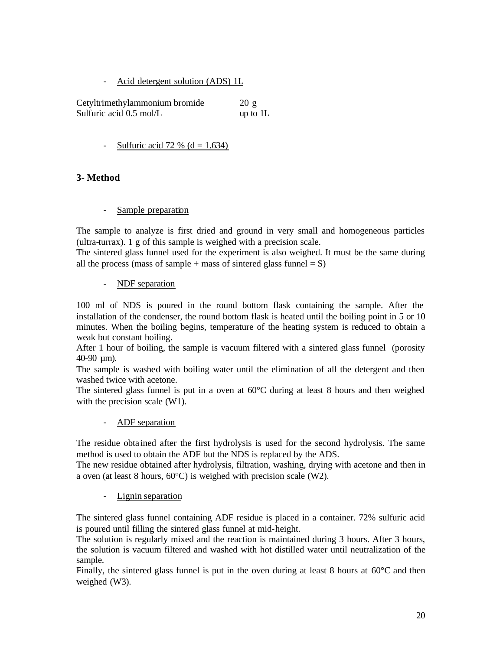- Acid detergent solution (ADS) 1L

Cetyltrimethylammonium bromide 20 g Sulfuric acid 0.5 mol/L up to 1L

- Sulfuric acid 72 % ( $d = 1.634$ )

# **3- Method**

- Sample preparation

The sample to analyze is first dried and ground in very small and homogeneous particles (ultra-turrax). 1 g of this sample is weighed with a precision scale.

The sintered glass funnel used for the experiment is also weighed. It must be the same during all the process (mass of sample + mass of sintered glass funnel =  $S$ )

- NDF separation

100 ml of NDS is poured in the round bottom flask containing the sample. After the installation of the condenser, the round bottom flask is heated until the boiling point in 5 or 10 minutes. When the boiling begins, temperature of the heating system is reduced to obtain a weak but constant boiling.

After 1 hour of boiling, the sample is vacuum filtered with a sintered glass funnel (porosity 40-90 µm).

The sample is washed with boiling water until the elimination of all the detergent and then washed twice with acetone.

The sintered glass funnel is put in a oven at 60°C during at least 8 hours and then weighed with the precision scale (W1).

- ADF separation

The residue obta ined after the first hydrolysis is used for the second hydrolysis. The same method is used to obtain the ADF but the NDS is replaced by the ADS.

The new residue obtained after hydrolysis, filtration, washing, drying with acetone and then in a oven (at least 8 hours, 60°C) is weighed with precision scale (W2).

- Lignin separation

The sintered glass funnel containing ADF residue is placed in a container. 72% sulfuric acid is poured until filling the sintered glass funnel at mid-height.

The solution is regularly mixed and the reaction is maintained during 3 hours. After 3 hours, the solution is vacuum filtered and washed with hot distilled water until neutralization of the sample.

Finally, the sintered glass funnel is put in the oven during at least 8 hours at 60°C and then weighed (W3).